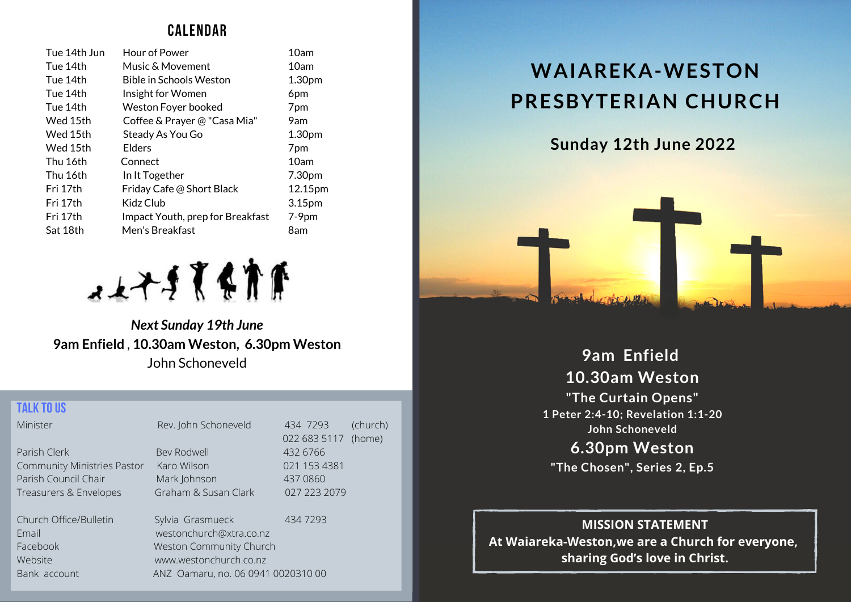# **CALENDAR**

| Tue 14th Jun | Hour of Power                    | 10am    |
|--------------|----------------------------------|---------|
| Tue 14th     | Music & Movement                 | 10am    |
| Tue 14th     | <b>Bible in Schools Weston</b>   | 1.30pm  |
| Tue 14th     | Insight for Women                | 6pm     |
| Tue 14th     | Weston Foyer booked              | 7pm     |
| Wed 15th     | Coffee & Prayer @ "Casa Mia"     | 9am     |
| Wed 15th     | Steady As You Go                 | 1.30pm  |
| Wed 15th     | Elders                           | 7pm     |
| Thu 16th     | Connect                          | 10am    |
| Thu 16th     | In It Together                   | 7.30pm  |
| Fri 17th     | Friday Cafe @ Short Black        | 12.15pm |
| Fri 17th     | Kidz Club                        | 3.15pm  |
| Fri 17th     | Impact Youth, prep for Breakfast | $7-9pm$ |
| Sat 18th     | Men's Breakfast                  | 8am     |



*Next Sunday 19th June* **9am Enfield** , **10.30am Weston, 6.30pm Weston** John Schoneveld

### **TALK TOUS**

| Minister                           | Rev. John Schoneveld    | 434 7293     | (church) |
|------------------------------------|-------------------------|--------------|----------|
|                                    |                         | 022 683 5117 | (home)   |
| Parish Clerk                       | Bev Rodwell             | 432 6766     |          |
| <b>Community Ministries Pastor</b> | Karo Wilson             | 021 153 4381 |          |
| Parish Council Chair               | Mark Johnson            | 437 0860     |          |
| Treasurers & Envelopes             | Graham & Susan Clark    | 027 223 2079 |          |
| Church Office/Bulletin             | Sylvia Grasmueck        | 434 7293     |          |
| Email                              | westonchurch@xtra.co.nz |              |          |

Bank account ANZ Oamaru, no. 06 0941 0020310 00

Facebook Weston Community Church Website www.westonchurch.co.nz

**WAIAREKA-WESTON PRESBYTERIAN CHURCH**

**Sunday 12th June 2022**



**9am Enfield 10.30am Weston "The Curtain Opens" 1 Peter 2:4-10; Revelation 1:1-20 John Schoneveld**

**6.30pm Weston "The Chosen", Series 2, Ep.5**

**MISSION STATEMENT At Waiareka-Weston,we are a Church for everyone, sharing God's love in Christ.**